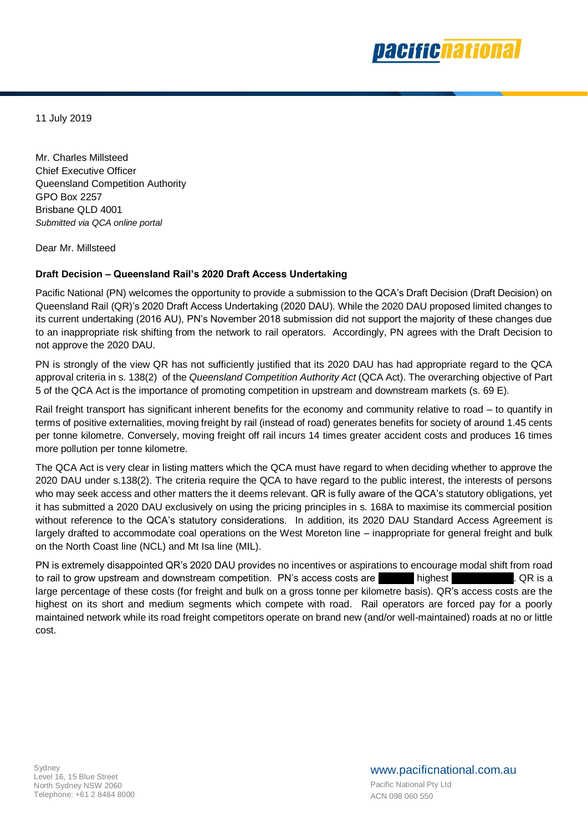

11 July 2019

Mr. Charles Millsteed Chief Executive Officer Queensland Competition Authority GPO Box 2257 Brisbane QLD 4001 *Submitted via QCA online portal*

Dear Mr. Millsteed

# **Draft Decision – Queensland Rail's 2020 Draft Access Undertaking**

Pacific National (PN) welcomes the opportunity to provide a submission to the QCA's Draft Decision (Draft Decision) on Queensland Rail (QR)'s 2020 Draft Access Undertaking (2020 DAU). While the 2020 DAU proposed limited changes to its current undertaking (2016 AU), PN's November 2018 submission did not support the majority of these changes due to an inappropriate risk shifting from the network to rail operators. Accordingly, PN agrees with the Draft Decision to not approve the 2020 DAU.

PN is strongly of the view QR has not sufficiently justified that its 2020 DAU has had appropriate regard to the QCA approval criteria in s. 138(2) of the *Queensland Competition Authority Act* (QCA Act). The overarching objective of Part 5 of the QCA Act is the importance of promoting competition in upstream and downstream markets (s. 69 E).

Rail freight transport has significant inherent benefits for the economy and community relative to road – to quantify in terms of positive externalities, moving freight by rail (instead of road) generates benefits for society of around 1.45 cents per tonne kilometre. Conversely, moving freight off rail incurs 14 times greater accident costs and produces 16 times more pollution per tonne kilometre.

The QCA Act is very clear in listing matters which the QCA must have regard to when deciding whether to approve the 2020 DAU under s.138(2). The criteria require the QCA to have regard to the public interest, the interests of persons who may seek access and other matters the it deems relevant. QR is fully aware of the QCA's statutory obligations, yet it has submitted a 2020 DAU exclusively on using the pricing principles in s. 168A to maximise its commercial position without reference to the QCA's statutory considerations. In addition, its 2020 DAU Standard Access Agreement is largely drafted to accommodate coal operations on the West Moreton line – inappropriate for general freight and bulk on the North Coast line (NCL) and Mt Isa line (MIL).

PN is extremely disappointed QR's 2020 DAU provides no incentives or aspirations to encourage modal shift from road to rail to grow upstream and downstream competition. PN's access costs are highest . QR is a large percentage of these costs (for freight and bulk on a gross tonne per kilometre basis). QR's access costs are the highest on its short and medium segments which compete with road. Rail operators are forced pay for a poorly maintained network while its road freight competitors operate on brand new (and/or well-maintained) roads at no or little cost.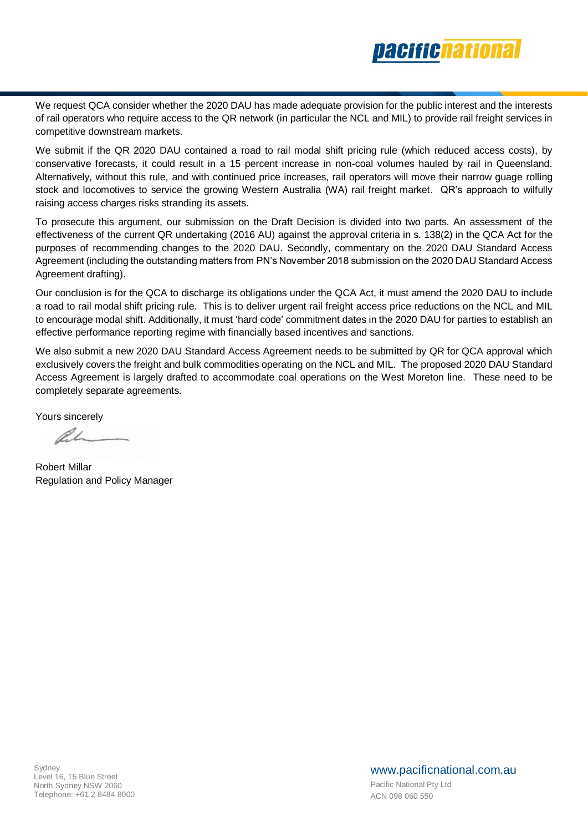

We request QCA consider whether the 2020 DAU has made adequate provision for the public interest and the interests of rail operators who require access to the QR network (in particular the NCL and MIL) to provide rail freight services in competitive downstream markets.

We submit if the QR 2020 DAU contained a road to rail modal shift pricing rule (which reduced access costs), by conservative forecasts, it could result in a 15 percent increase in non-coal volumes hauled by rail in Queensland. Alternatively, without this rule, and with continued price increases, rail operators will move their narrow guage rolling stock and locomotives to service the growing Western Australia (WA) rail freight market. QR's approach to wilfully raising access charges risks stranding its assets.

To prosecute this argument, our submission on the Draft Decision is divided into two parts. An assessment of the effectiveness of the current QR undertaking (2016 AU) against the approval criteria in s. 138(2) in the QCA Act for the purposes of recommending changes to the 2020 DAU. Secondly, commentary on the 2020 DAU Standard Access Agreement (including the outstanding matters from PN's November 2018 submission on the 2020 DAU Standard Access Agreement drafting).

Our conclusion is for the QCA to discharge its obligations under the QCA Act, it must amend the 2020 DAU to include a road to rail modal shift pricing rule. This is to deliver urgent rail freight access price reductions on the NCL and MIL to encourage modal shift. Additionally, it must 'hard code' commitment dates in the 2020 DAU for parties to establish an effective performance reporting regime with financially based incentives and sanctions.

We also submit a new 2020 DAU Standard Access Agreement needs to be submitted by QR for QCA approval which exclusively covers the freight and bulk commodities operating on the NCL and MIL. The proposed 2020 DAU Standard Access Agreement is largely drafted to accommodate coal operations on the West Moreton line. These need to be completely separate agreements.

Yours sincerely

l.L

Robert Millar Regulation and Policy Manager

www.pacificnational.com.au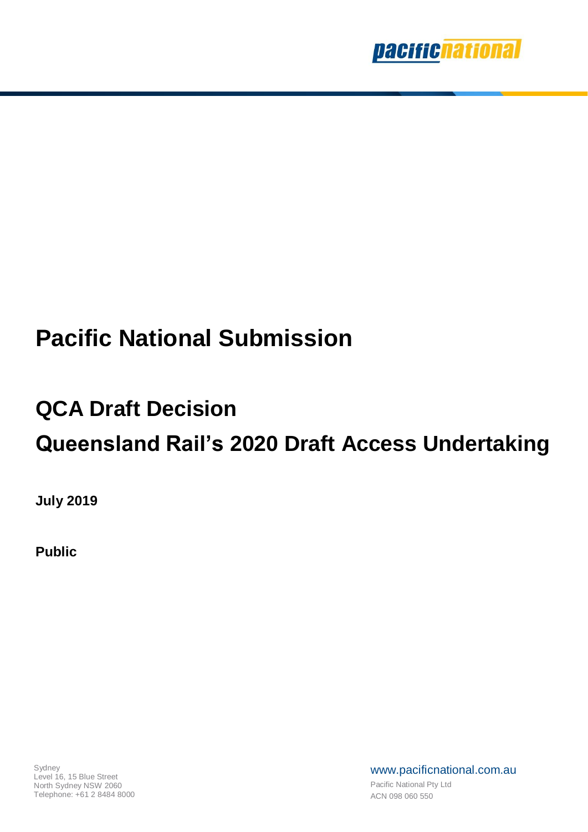

# **Pacific National Submission**

# **QCA Draft Decision Queensland Rail's 2020 Draft Access Undertaking**

**July 2019**

**Public**

www.pacificnational.com.au Pacific National Pty Ltd ACN 098 060 550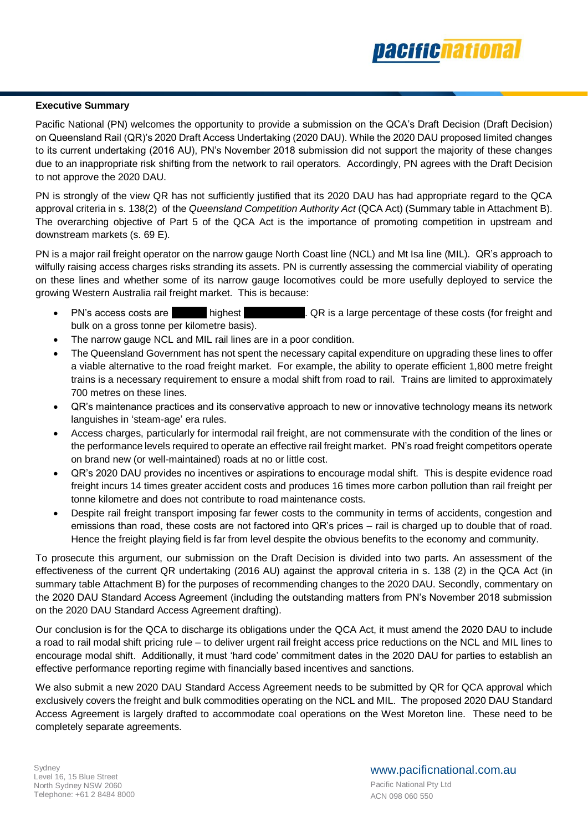

# **Executive Summary**

Pacific National (PN) welcomes the opportunity to provide a submission on the QCA's Draft Decision (Draft Decision) on Queensland Rail (QR)'s 2020 Draft Access Undertaking (2020 DAU). While the 2020 DAU proposed limited changes to its current undertaking (2016 AU), PN's November 2018 submission did not support the majority of these changes due to an inappropriate risk shifting from the network to rail operators. Accordingly, PN agrees with the Draft Decision to not approve the 2020 DAU.

PN is strongly of the view QR has not sufficiently justified that its 2020 DAU has had appropriate regard to the QCA approval criteria in s. 138(2) of the *Queensland Competition Authority Act* (QCA Act) (Summary table in Attachment B). The overarching objective of Part 5 of the QCA Act is the importance of promoting competition in upstream and downstream markets (s. 69 E).

PN is a major rail freight operator on the narrow gauge North Coast line (NCL) and Mt Isa line (MIL). QR's approach to wilfully raising access charges risks stranding its assets. PN is currently assessing the commercial viability of operating on these lines and whether some of its narrow gauge locomotives could be more usefully deployed to service the growing Western Australia rail freight market. This is because:

- PN's access costs are highest . QR is a large percentage of these costs (for freight and bulk on a gross tonne per kilometre basis).
- The narrow gauge NCL and MIL rail lines are in a poor condition.
- The Queensland Government has not spent the necessary capital expenditure on upgrading these lines to offer a viable alternative to the road freight market. For example, the ability to operate efficient 1,800 metre freight trains is a necessary requirement to ensure a modal shift from road to rail. Trains are limited to approximately 700 metres on these lines.
- QR's maintenance practices and its conservative approach to new or innovative technology means its network languishes in 'steam-age' era rules.
- Access charges, particularly for intermodal rail freight, are not commensurate with the condition of the lines or the performance levels required to operate an effective rail freight market. PN's road freight competitors operate on brand new (or well-maintained) roads at no or little cost.
- QR's 2020 DAU provides no incentives or aspirations to encourage modal shift. This is despite evidence road freight incurs 14 times greater accident costs and produces 16 times more carbon pollution than rail freight per tonne kilometre and does not contribute to road maintenance costs.
- Despite rail freight transport imposing far fewer costs to the community in terms of accidents, congestion and emissions than road, these costs are not factored into QR's prices – rail is charged up to double that of road. Hence the freight playing field is far from level despite the obvious benefits to the economy and community.

To prosecute this argument, our submission on the Draft Decision is divided into two parts. An assessment of the effectiveness of the current QR undertaking (2016 AU) against the approval criteria in s. 138 (2) in the QCA Act (in summary table Attachment B) for the purposes of recommending changes to the 2020 DAU. Secondly, commentary on the 2020 DAU Standard Access Agreement (including the outstanding matters from PN's November 2018 submission on the 2020 DAU Standard Access Agreement drafting).

Our conclusion is for the QCA to discharge its obligations under the QCA Act, it must amend the 2020 DAU to include a road to rail modal shift pricing rule – to deliver urgent rail freight access price reductions on the NCL and MIL lines to encourage modal shift. Additionally, it must 'hard code' commitment dates in the 2020 DAU for parties to establish an effective performance reporting regime with financially based incentives and sanctions.

We also submit a new 2020 DAU Standard Access Agreement needs to be submitted by QR for QCA approval which exclusively covers the freight and bulk commodities operating on the NCL and MIL. The proposed 2020 DAU Standard Access Agreement is largely drafted to accommodate coal operations on the West Moreton line. These need to be completely separate agreements.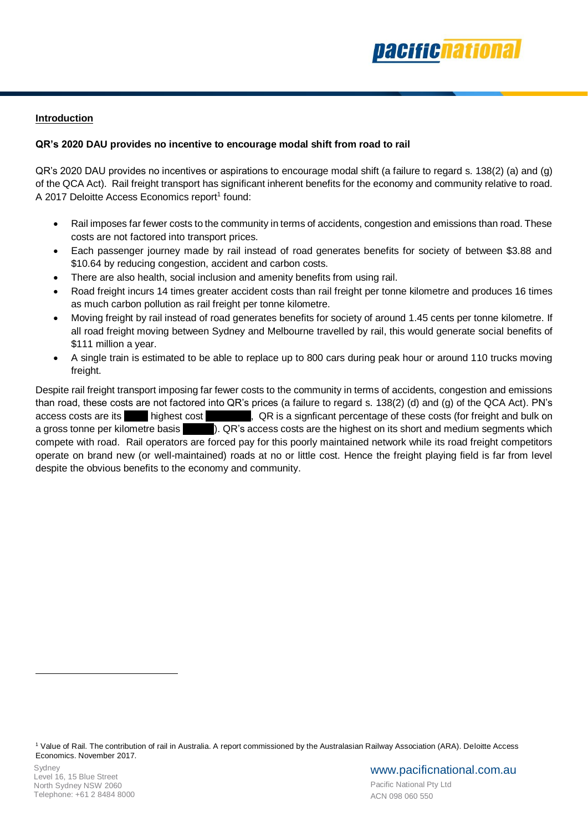

# **Introduction**

# **QR's 2020 DAU provides no incentive to encourage modal shift from road to rail**

QR's 2020 DAU provides no incentives or aspirations to encourage modal shift (a failure to regard s. 138(2) (a) and (g) of the QCA Act). Rail freight transport has significant inherent benefits for the economy and community relative to road. A 2017 Deloitte Access Economics report<sup>1</sup> found:

- Rail imposes far fewer costs to the community in terms of accidents, congestion and emissions than road. These costs are not factored into transport prices.
- Each passenger journey made by rail instead of road generates benefits for society of between \$3.88 and \$10.64 by reducing congestion, accident and carbon costs.
- There are also health, social inclusion and amenity benefits from using rail.
- Road freight incurs 14 times greater accident costs than rail freight per tonne kilometre and produces 16 times as much carbon pollution as rail freight per tonne kilometre.
- Moving freight by rail instead of road generates benefits for society of around 1.45 cents per tonne kilometre. If all road freight moving between Sydney and Melbourne travelled by rail, this would generate social benefits of \$111 million a year.
- A single train is estimated to be able to replace up to 800 cars during peak hour or around 110 trucks moving freight.

Despite rail freight transport imposing far fewer costs to the community in terms of accidents, congestion and emissions than road, these costs are not factored into QR's prices (a failure to regard s. 138(2) (d) and (g) of the QCA Act). PN's access costs are its highest cost , QR is a signficant percentage of these costs (for freight and bulk on a gross tonne per kilometre basis ). QR's access costs are the highest on its short and medium segments which compete with road. Rail operators are forced pay for this poorly maintained network while its road freight competitors operate on brand new (or well-maintained) roads at no or little cost. Hence the freight playing field is far from level despite the obvious benefits to the economy and community.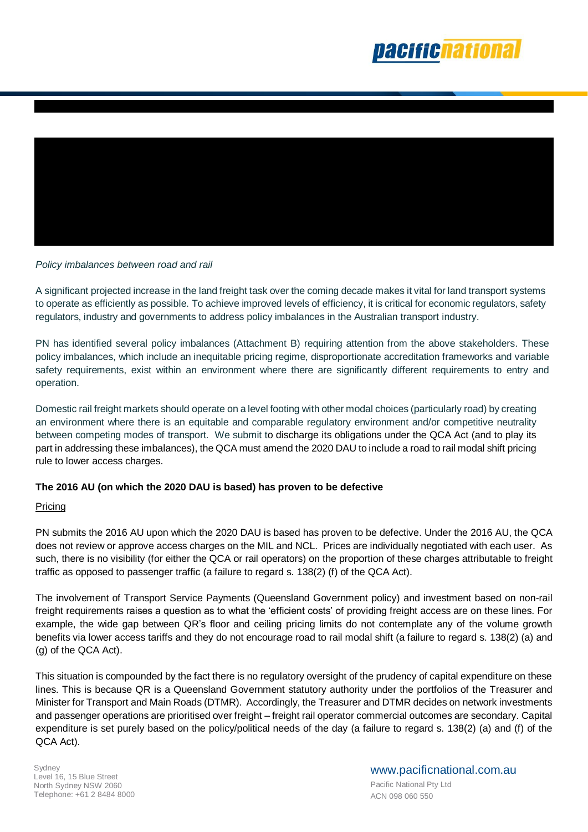



# *Policy imbalances between road and rail*

A significant projected increase in the land freight task over the coming decade makes it vital for land transport systems to operate as efficiently as possible. To achieve improved levels of efficiency, it is critical for economic regulators, safety regulators, industry and governments to address policy imbalances in the Australian transport industry.

PN has identified several policy imbalances (Attachment B) requiring attention from the above stakeholders. These policy imbalances, which include an inequitable pricing regime, disproportionate accreditation frameworks and variable safety requirements, exist within an environment where there are significantly different requirements to entry and operation.

Domestic rail freight markets should operate on a level footing with other modal choices (particularly road) by creating an environment where there is an equitable and comparable regulatory environment and/or competitive neutrality between competing modes of transport. We submit to discharge its obligations under the QCA Act (and to play its part in addressing these imbalances), the QCA must amend the 2020 DAU to include a road to rail modal shift pricing rule to lower access charges.

# **The 2016 AU (on which the 2020 DAU is based) has proven to be defective**

## Pricing

PN submits the 2016 AU upon which the 2020 DAU is based has proven to be defective. Under the 2016 AU, the QCA does not review or approve access charges on the MIL and NCL. Prices are individually negotiated with each user. As such, there is no visibility (for either the QCA or rail operators) on the proportion of these charges attributable to freight traffic as opposed to passenger traffic (a failure to regard s. 138(2) (f) of the QCA Act).

The involvement of Transport Service Payments (Queensland Government policy) and investment based on non-rail freight requirements raises a question as to what the 'efficient costs' of providing freight access are on these lines. For example, the wide gap between QR's floor and ceiling pricing limits do not contemplate any of the volume growth benefits via lower access tariffs and they do not encourage road to rail modal shift (a failure to regard s. 138(2) (a) and (g) of the QCA Act).

This situation is compounded by the fact there is no regulatory oversight of the prudency of capital expenditure on these lines. This is because QR is a Queensland Government statutory authority under the portfolios of the Treasurer and Minister for Transport and Main Roads (DTMR). Accordingly, the Treasurer and DTMR decides on network investments and passenger operations are prioritised over freight – freight rail operator commercial outcomes are secondary. Capital expenditure is set purely based on the policy/political needs of the day (a failure to regard s. 138(2) (a) and (f) of the QCA Act).

**S**vdney Level 16, 15 Blue Street North Sydney NSW 2060 Telephone: +61 2 8484 8000 www.pacificnational.com.au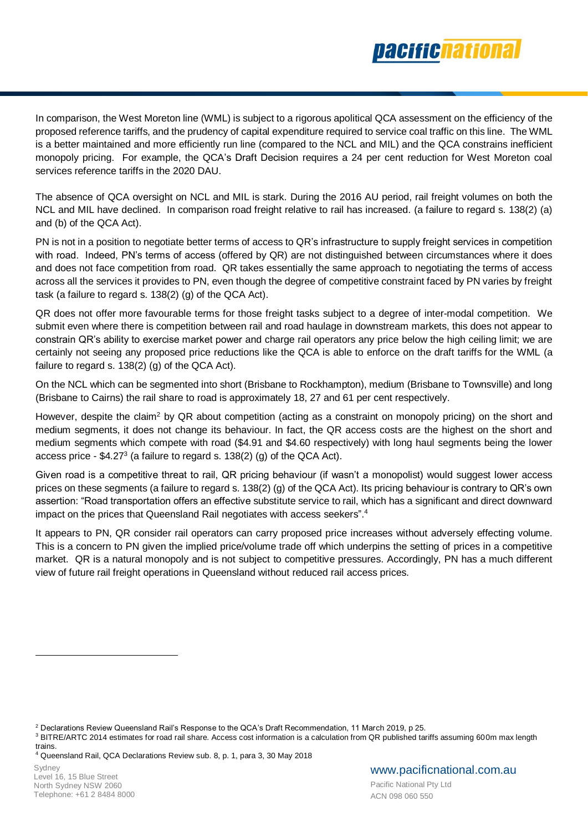

In comparison, the West Moreton line (WML) is subject to a rigorous apolitical QCA assessment on the efficiency of the proposed reference tariffs, and the prudency of capital expenditure required to service coal traffic on this line. The WML is a better maintained and more efficiently run line (compared to the NCL and MIL) and the QCA constrains inefficient monopoly pricing. For example, the QCA's Draft Decision requires a 24 per cent reduction for West Moreton coal services reference tariffs in the 2020 DAU.

The absence of QCA oversight on NCL and MIL is stark. During the 2016 AU period, rail freight volumes on both the NCL and MIL have declined. In comparison road freight relative to rail has increased. (a failure to regard s. 138(2) (a) and (b) of the QCA Act).

PN is not in a position to negotiate better terms of access to QR's infrastructure to supply freight services in competition with road. Indeed, PN's terms of access (offered by QR) are not distinguished between circumstances where it does and does not face competition from road. QR takes essentially the same approach to negotiating the terms of access across all the services it provides to PN, even though the degree of competitive constraint faced by PN varies by freight task (a failure to regard s. 138(2) (g) of the QCA Act).

QR does not offer more favourable terms for those freight tasks subject to a degree of inter-modal competition. We submit even where there is competition between rail and road haulage in downstream markets, this does not appear to constrain QR's ability to exercise market power and charge rail operators any price below the high ceiling limit; we are certainly not seeing any proposed price reductions like the QCA is able to enforce on the draft tariffs for the WML (a failure to regard s. 138(2) (g) of the QCA Act).

On the NCL which can be segmented into short (Brisbane to Rockhampton), medium (Brisbane to Townsville) and long (Brisbane to Cairns) the rail share to road is approximately 18, 27 and 61 per cent respectively.

However, despite the claim<sup>2</sup> by QR about competition (acting as a constraint on monopoly pricing) on the short and medium segments, it does not change its behaviour. In fact, the QR access costs are the highest on the short and medium segments which compete with road (\$4.91 and \$4.60 respectively) with long haul segments being the lower access price - \$4.27 $3$  (a failure to regard s. 138(2) (g) of the QCA Act).

Given road is a competitive threat to rail, QR pricing behaviour (if wasn't a monopolist) would suggest lower access prices on these segments (a failure to regard s. 138(2) (g) of the QCA Act). Its pricing behaviour is contrary to QR's own assertion: "Road transportation offers an effective substitute service to rail, which has a significant and direct downward impact on the prices that Queensland Rail negotiates with access seekers".<sup>4</sup>

It appears to PN, QR consider rail operators can carry proposed price increases without adversely effecting volume. This is a concern to PN given the implied price/volume trade off which underpins the setting of prices in a competitive market. QR is a natural monopoly and is not subject to competitive pressures. Accordingly, PN has a much different view of future rail freight operations in Queensland without reduced rail access prices.

<sup>4</sup> Queensland Rail, QCA Declarations Review sub. 8, p. 1, para 3, 30 May 2018

<sup>2</sup> Declarations Review Queensland Rail's Response to the QCA's Draft Recommendation, 11 March 2019, p 25.

<sup>&</sup>lt;sup>3</sup> BITRE/ARTC 2014 estimates for road rail share. Access cost information is a calculation from QR published tariffs assuming 600m max length trains.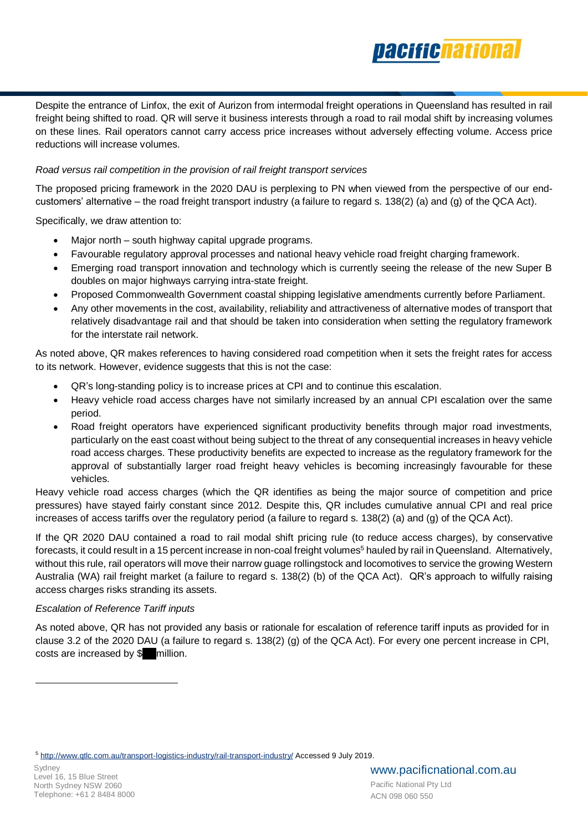

Despite the entrance of Linfox, the exit of Aurizon from intermodal freight operations in Queensland has resulted in rail freight being shifted to road. QR will serve it business interests through a road to rail modal shift by increasing volumes on these lines. Rail operators cannot carry access price increases without adversely effecting volume. Access price reductions will increase volumes.

# *Road versus rail competition in the provision of rail freight transport services*

The proposed pricing framework in the 2020 DAU is perplexing to PN when viewed from the perspective of our endcustomers' alternative – the road freight transport industry (a failure to regard s. 138(2) (a) and (g) of the QCA Act).

Specifically, we draw attention to:

- Major north south highway capital upgrade programs.
- Favourable regulatory approval processes and national heavy vehicle road freight charging framework.
- Emerging road transport innovation and technology which is currently seeing the release of the new Super B doubles on major highways carrying intra-state freight.
- Proposed Commonwealth Government coastal shipping legislative amendments currently before Parliament.
- Any other movements in the cost, availability, reliability and attractiveness of alternative modes of transport that relatively disadvantage rail and that should be taken into consideration when setting the regulatory framework for the interstate rail network.

As noted above, QR makes references to having considered road competition when it sets the freight rates for access to its network. However, evidence suggests that this is not the case:

- QR's long-standing policy is to increase prices at CPI and to continue this escalation.
- Heavy vehicle road access charges have not similarly increased by an annual CPI escalation over the same period.
- Road freight operators have experienced significant productivity benefits through major road investments, particularly on the east coast without being subject to the threat of any consequential increases in heavy vehicle road access charges. These productivity benefits are expected to increase as the regulatory framework for the approval of substantially larger road freight heavy vehicles is becoming increasingly favourable for these vehicles.

Heavy vehicle road access charges (which the QR identifies as being the major source of competition and price pressures) have stayed fairly constant since 2012. Despite this, QR includes cumulative annual CPI and real price increases of access tariffs over the regulatory period (a failure to regard s. 138(2) (a) and (g) of the QCA Act).

If the QR 2020 DAU contained a road to rail modal shift pricing rule (to reduce access charges), by conservative forecasts, it could result in a 15 percent increase in non-coal freight volumes<sup>5</sup> hauled by rail in Queensland. Alternatively, without this rule, rail operators will move their narrow guage rollingstock and locomotives to service the growing Western Australia (WA) rail freight market (a failure to regard s. 138(2) (b) of the QCA Act). QR's approach to wilfully raising access charges risks stranding its assets.

# *Escalation of Reference Tariff inputs*

As noted above, QR has not provided any basis or rationale for escalation of reference tariff inputs as provided for in clause 3.2 of the 2020 DAU (a failure to regard s. 138(2) (g) of the QCA Act). For every one percent increase in CPI, costs are increased by \$ million.

<sup>5</sup> <http://www.qtlc.com.au/transport-logistics-industry/rail-transport-industry/> Accessed 9 July 2019.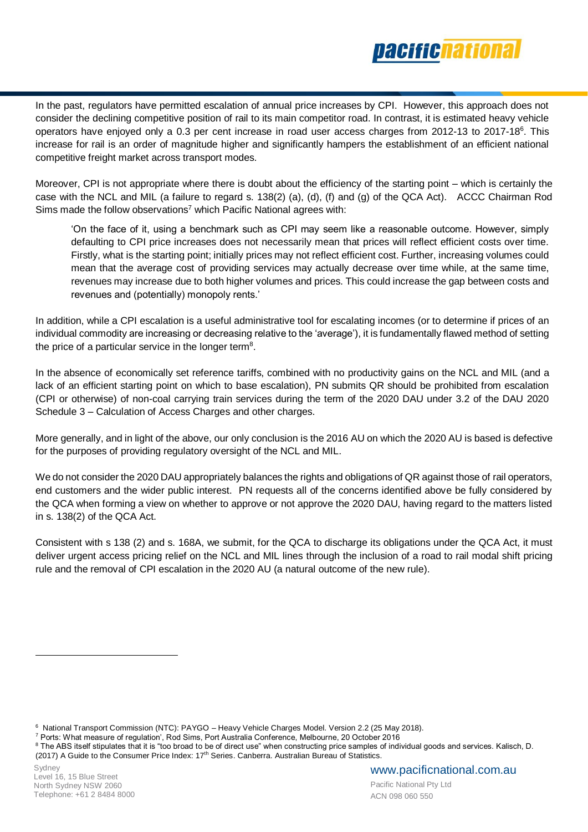

In the past, regulators have permitted escalation of annual price increases by CPI. However, this approach does not consider the declining competitive position of rail to its main competitor road. In contrast, it is estimated heavy vehicle operators have enjoyed only a 0.3 per cent increase in road user access charges from 2012-13 to 2017-18<sup>6</sup>. This increase for rail is an order of magnitude higher and significantly hampers the establishment of an efficient national competitive freight market across transport modes.

Moreover, CPI is not appropriate where there is doubt about the efficiency of the starting point – which is certainly the case with the NCL and MIL (a failure to regard s. 138(2) (a), (d), (f) and (g) of the QCA Act). ACCC Chairman Rod Sims made the follow observations<sup>7</sup> which Pacific National agrees with:

'On the face of it, using a benchmark such as CPI may seem like a reasonable outcome. However, simply defaulting to CPI price increases does not necessarily mean that prices will reflect efficient costs over time. Firstly, what is the starting point; initially prices may not reflect efficient cost. Further, increasing volumes could mean that the average cost of providing services may actually decrease over time while, at the same time, revenues may increase due to both higher volumes and prices. This could increase the gap between costs and revenues and (potentially) monopoly rents.'

In addition, while a CPI escalation is a useful administrative tool for escalating incomes (or to determine if prices of an individual commodity are increasing or decreasing relative to the 'average'), it is fundamentally flawed method of setting the price of a particular service in the longer term<sup>8</sup>.

In the absence of economically set reference tariffs, combined with no productivity gains on the NCL and MIL (and a lack of an efficient starting point on which to base escalation), PN submits QR should be prohibited from escalation (CPI or otherwise) of non-coal carrying train services during the term of the 2020 DAU under 3.2 of the DAU 2020 Schedule 3 – Calculation of Access Charges and other charges.

More generally, and in light of the above, our only conclusion is the 2016 AU on which the 2020 AU is based is defective for the purposes of providing regulatory oversight of the NCL and MIL.

We do not consider the 2020 DAU appropriately balances the rights and obligations of QR against those of rail operators, end customers and the wider public interest. PN requests all of the concerns identified above be fully considered by the QCA when forming a view on whether to approve or not approve the 2020 DAU, having regard to the matters listed in s. 138(2) of the QCA Act.

Consistent with s 138 (2) and s. 168A, we submit, for the QCA to discharge its obligations under the QCA Act, it must deliver urgent access pricing relief on the NCL and MIL lines through the inclusion of a road to rail modal shift pricing rule and the removal of CPI escalation in the 2020 AU (a natural outcome of the new rule).

6 National Transport Commission (NTC): PAYGO – Heavy Vehicle Charges Model. Version 2.2 (25 May 2018).

<sup>7</sup> Ports: What measure of regulation', Rod Sims, Port Australia Conference, Melbourne, 20 October 2016

<sup>&</sup>lt;sup>8</sup> The ABS itself stipulates that it is "too broad to be of direct use" when constructing price samples of individual goods and services. Kalisch, D. (2017) A Guide to the Consumer Price Index: 17th Series. Canberra. Australian Bureau of Statistics.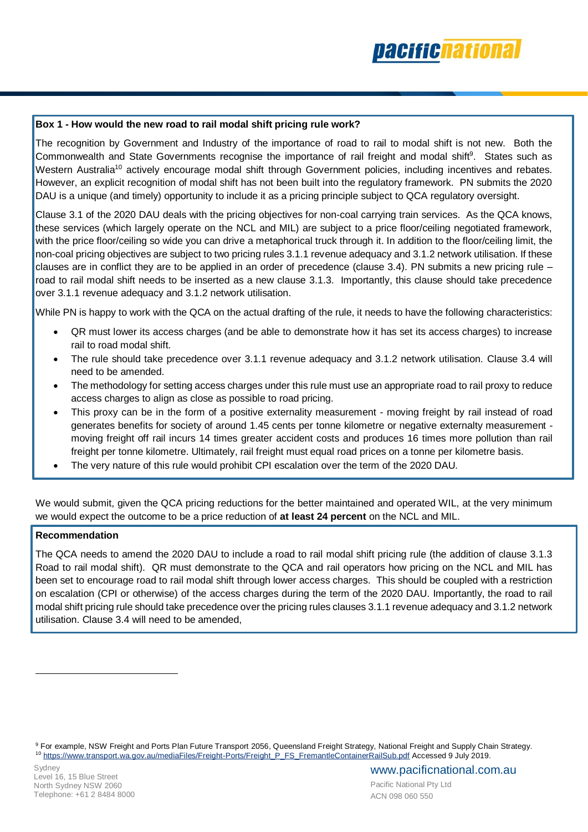

# **Box 1 - How would the new road to rail modal shift pricing rule work?**

The recognition by Government and Industry of the importance of road to rail to modal shift is not new. Both the Commonwealth and State Governments recognise the importance of rail freight and modal shift<sup>9</sup>. States such as Western Australia<sup>10</sup> actively encourage modal shift through Government policies, including incentives and rebates. However, an explicit recognition of modal shift has not been built into the regulatory framework. PN submits the 2020 DAU is a unique (and timely) opportunity to include it as a pricing principle subject to QCA regulatory oversight.

Clause 3.1 of the 2020 DAU deals with the pricing objectives for non-coal carrying train services. As the QCA knows, these services (which largely operate on the NCL and MIL) are subject to a price floor/ceiling negotiated framework, with the price floor/ceiling so wide you can drive a metaphorical truck through it. In addition to the floor/ceiling limit, the non-coal pricing objectives are subject to two pricing rules 3.1.1 revenue adequacy and 3.1.2 network utilisation. If these clauses are in conflict they are to be applied in an order of precedence (clause 3.4). PN submits a new pricing rule  $$ road to rail modal shift needs to be inserted as a new clause 3.1.3. Importantly, this clause should take precedence over 3.1.1 revenue adequacy and 3.1.2 network utilisation.

While PN is happy to work with the QCA on the actual drafting of the rule, it needs to have the following characteristics:

- QR must lower its access charges (and be able to demonstrate how it has set its access charges) to increase rail to road modal shift.
- The rule should take precedence over 3.1.1 revenue adequacy and 3.1.2 network utilisation. Clause 3.4 will need to be amended.
- The methodology for setting access charges under this rule must use an appropriate road to rail proxy to reduce access charges to align as close as possible to road pricing.
- This proxy can be in the form of a positive externality measurement moving freight by rail instead of road generates benefits for society of around 1.45 cents per tonne kilometre or negative externalty measurement moving freight off rail incurs 14 times greater accident costs and produces 16 times more pollution than rail freight per tonne kilometre. Ultimately, rail freight must equal road prices on a tonne per kilometre basis.
- The very nature of this rule would prohibit CPI escalation over the term of the 2020 DAU.

We would submit, given the QCA pricing reductions for the better maintained and operated WIL, at the very minimum we would expect the outcome to be a price reduction of **at least 24 percent** on the NCL and MIL.

# **Recommendation**

The QCA needs to amend the 2020 DAU to include a road to rail modal shift pricing rule (the addition of clause 3.1.3 Road to rail modal shift). QR must demonstrate to the QCA and rail operators how pricing on the NCL and MIL has been set to encourage road to rail modal shift through lower access charges. This should be coupled with a restriction on escalation (CPI or otherwise) of the access charges during the term of the 2020 DAU. Importantly, the road to rail modal shift pricing rule should take precedence over the pricing rules clauses 3.1.1 revenue adequacy and 3.1.2 network utilisation. Clause 3.4 will need to be amended,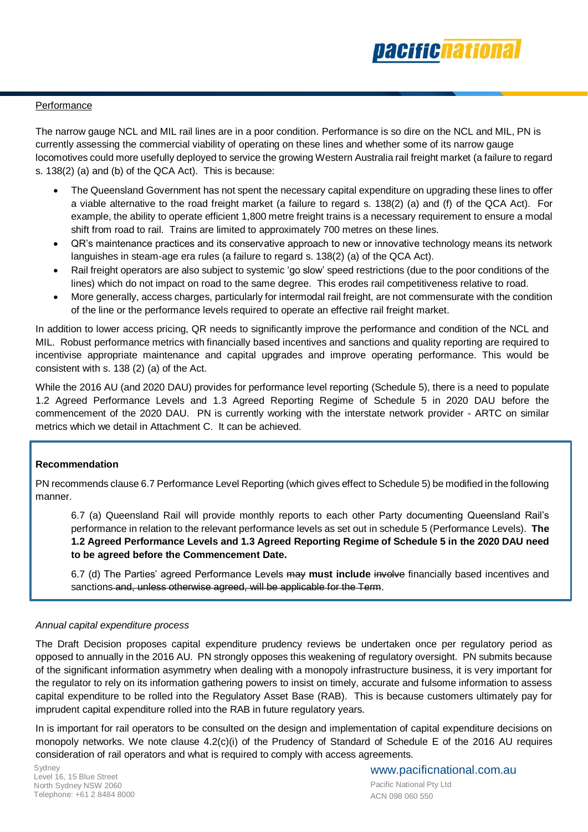

# **Performance**

The narrow gauge NCL and MIL rail lines are in a poor condition. Performance is so dire on the NCL and MIL, PN is currently assessing the commercial viability of operating on these lines and whether some of its narrow gauge locomotives could more usefully deployed to service the growing Western Australia rail freight market (a failure to regard s. 138(2) (a) and (b) of the QCA Act). This is because:

- The Queensland Government has not spent the necessary capital expenditure on upgrading these lines to offer a viable alternative to the road freight market (a failure to regard s. 138(2) (a) and (f) of the QCA Act). For example, the ability to operate efficient 1,800 metre freight trains is a necessary requirement to ensure a modal shift from road to rail. Trains are limited to approximately 700 metres on these lines.
- QR's maintenance practices and its conservative approach to new or innovative technology means its network languishes in steam-age era rules (a failure to regard s. 138(2) (a) of the QCA Act).
- Rail freight operators are also subject to systemic 'go slow' speed restrictions (due to the poor conditions of the lines) which do not impact on road to the same degree. This erodes rail competitiveness relative to road.
- More generally, access charges, particularly for intermodal rail freight, are not commensurate with the condition of the line or the performance levels required to operate an effective rail freight market.

In addition to lower access pricing, QR needs to significantly improve the performance and condition of the NCL and MIL. Robust performance metrics with financially based incentives and sanctions and quality reporting are required to incentivise appropriate maintenance and capital upgrades and improve operating performance. This would be consistent with s. 138 (2) (a) of the Act.

While the 2016 AU (and 2020 DAU) provides for performance level reporting (Schedule 5), there is a need to populate 1.2 Agreed Performance Levels and 1.3 Agreed Reporting Regime of Schedule 5 in 2020 DAU before the commencement of the 2020 DAU. PN is currently working with the interstate network provider - ARTC on similar metrics which we detail in Attachment C. It can be achieved.

# **Recommendation**

PN recommends clause 6.7 Performance Level Reporting (which gives effect to Schedule 5) be modified in the following manner.

6.7 (a) Queensland Rail will provide monthly reports to each other Party documenting Queensland Rail's performance in relation to the relevant performance levels as set out in schedule 5 (Performance Levels). **The 1.2 Agreed Performance Levels and 1.3 Agreed Reporting Regime of Schedule 5 in the 2020 DAU need to be agreed before the Commencement Date.** 

6.7 (d) The Parties' agreed Performance Levels may **must include** involve financially based incentives and sanctions and, unless otherwise agreed, will be applicable for the Term.

## *Annual capital expenditure process*

The Draft Decision proposes capital expenditure prudency reviews be undertaken once per regulatory period as opposed to annually in the 2016 AU. PN strongly opposes this weakening of regulatory oversight. PN submits because of the significant information asymmetry when dealing with a monopoly infrastructure business, it is very important for the regulator to rely on its information gathering powers to insist on timely, accurate and fulsome information to assess capital expenditure to be rolled into the Regulatory Asset Base (RAB). This is because customers ultimately pay for imprudent capital expenditure rolled into the RAB in future regulatory years.

In is important for rail operators to be consulted on the design and implementation of capital expenditure decisions on monopoly networks. We note clause 4.2(c)(i) of the Prudency of Standard of Schedule E of the 2016 AU requires consideration of rail operators and what is required to comply with access agreements.

Sydney Level 16, 15 Blue Street North Sydney NSW 2060 Telephone: +61 2 8484 8000

www.pacificnational.com.au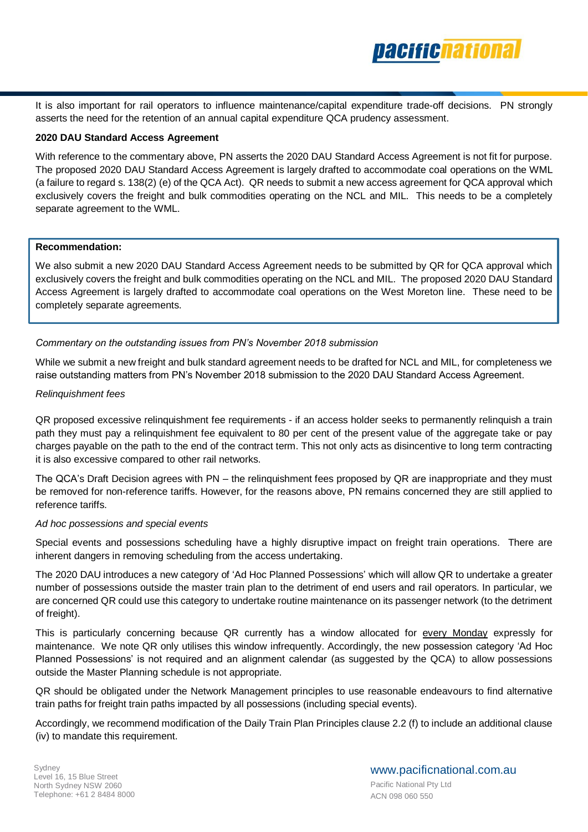

It is also important for rail operators to influence maintenance/capital expenditure trade-off decisions. PN strongly asserts the need for the retention of an annual capital expenditure QCA prudency assessment.

# **2020 DAU Standard Access Agreement**

With reference to the commentary above, PN asserts the 2020 DAU Standard Access Agreement is not fit for purpose. The proposed 2020 DAU Standard Access Agreement is largely drafted to accommodate coal operations on the WML (a failure to regard s. 138(2) (e) of the QCA Act). QR needs to submit a new access agreement for QCA approval which exclusively covers the freight and bulk commodities operating on the NCL and MIL. This needs to be a completely separate agreement to the WML.

## **Recommendation:**

We also submit a new 2020 DAU Standard Access Agreement needs to be submitted by QR for QCA approval which exclusively covers the freight and bulk commodities operating on the NCL and MIL. The proposed 2020 DAU Standard Access Agreement is largely drafted to accommodate coal operations on the West Moreton line. These need to be completely separate agreements.

# *Commentary on the outstanding issues from PN's November 2018 submission*

While we submit a new freight and bulk standard agreement needs to be drafted for NCL and MIL, for completeness we raise outstanding matters from PN's November 2018 submission to the 2020 DAU Standard Access Agreement.

## *Relinquishment fees*

QR proposed excessive relinquishment fee requirements - if an access holder seeks to permanently relinquish a train path they must pay a relinquishment fee equivalent to 80 per cent of the present value of the aggregate take or pay charges payable on the path to the end of the contract term. This not only acts as disincentive to long term contracting it is also excessive compared to other rail networks.

The QCA's Draft Decision agrees with PN – the relinquishment fees proposed by QR are inappropriate and they must be removed for non-reference tariffs. However, for the reasons above, PN remains concerned they are still applied to reference tariffs.

## *Ad hoc possessions and special events*

Special events and possessions scheduling have a highly disruptive impact on freight train operations. There are inherent dangers in removing scheduling from the access undertaking.

The 2020 DAU introduces a new category of 'Ad Hoc Planned Possessions' which will allow QR to undertake a greater number of possessions outside the master train plan to the detriment of end users and rail operators. In particular, we are concerned QR could use this category to undertake routine maintenance on its passenger network (to the detriment of freight).

This is particularly concerning because QR currently has a window allocated for every Monday expressly for maintenance. We note QR only utilises this window infrequently. Accordingly, the new possession category 'Ad Hoc Planned Possessions' is not required and an alignment calendar (as suggested by the QCA) to allow possessions outside the Master Planning schedule is not appropriate.

QR should be obligated under the Network Management principles to use reasonable endeavours to find alternative train paths for freight train paths impacted by all possessions (including special events).

Accordingly, we recommend modification of the Daily Train Plan Principles clause 2.2 (f) to include an additional clause (iv) to mandate this requirement.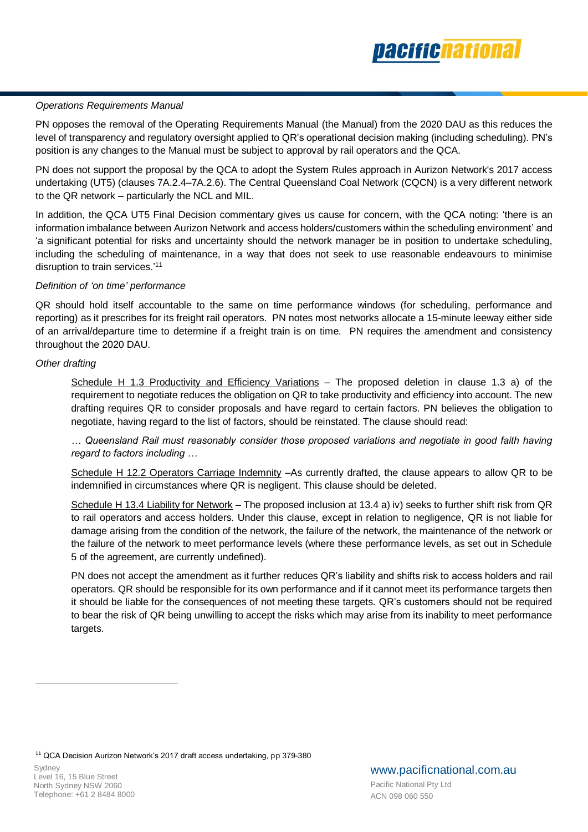

# *Operations Requirements Manual*

PN opposes the removal of the Operating Requirements Manual (the Manual) from the 2020 DAU as this reduces the level of transparency and regulatory oversight applied to QR's operational decision making (including scheduling). PN's position is any changes to the Manual must be subject to approval by rail operators and the QCA.

PN does not support the proposal by the QCA to adopt the System Rules approach in Aurizon Network's 2017 access undertaking (UT5) (clauses 7A.2.4–7A.2.6). The Central Queensland Coal Network (CQCN) is a very different network to the QR network – particularly the NCL and MIL.

In addition, the QCA UT5 Final Decision commentary gives us cause for concern, with the QCA noting: 'there is an information imbalance between Aurizon Network and access holders/customers within the scheduling environment' and 'a significant potential for risks and uncertainty should the network manager be in position to undertake scheduling, including the scheduling of maintenance, in a way that does not seek to use reasonable endeavours to minimise disruption to train services.<sup>'11</sup>

# *Definition of 'on time' performance*

QR should hold itself accountable to the same on time performance windows (for scheduling, performance and reporting) as it prescribes for its freight rail operators. PN notes most networks allocate a 15-minute leeway either side of an arrival/departure time to determine if a freight train is on time. PN requires the amendment and consistency throughout the 2020 DAU.

# *Other drafting*

Schedule H 1.3 Productivity and Efficiency Variations – The proposed deletion in clause 1.3 a) of the requirement to negotiate reduces the obligation on QR to take productivity and efficiency into account. The new drafting requires QR to consider proposals and have regard to certain factors. PN believes the obligation to negotiate, having regard to the list of factors, should be reinstated. The clause should read:

*… Queensland Rail must reasonably consider those proposed variations and negotiate in good faith having regard to factors including …*

Schedule H 12.2 Operators Carriage Indemnity –As currently drafted, the clause appears to allow QR to be indemnified in circumstances where QR is negligent. This clause should be deleted.

Schedule H 13.4 Liability for Network – The proposed inclusion at 13.4 a) iv) seeks to further shift risk from QR to rail operators and access holders. Under this clause, except in relation to negligence, QR is not liable for damage arising from the condition of the network, the failure of the network, the maintenance of the network or the failure of the network to meet performance levels (where these performance levels, as set out in Schedule 5 of the agreement, are currently undefined).

PN does not accept the amendment as it further reduces QR's liability and shifts risk to access holders and rail operators. QR should be responsible for its own performance and if it cannot meet its performance targets then it should be liable for the consequences of not meeting these targets. QR's customers should not be required to bear the risk of QR being unwilling to accept the risks which may arise from its inability to meet performance targets.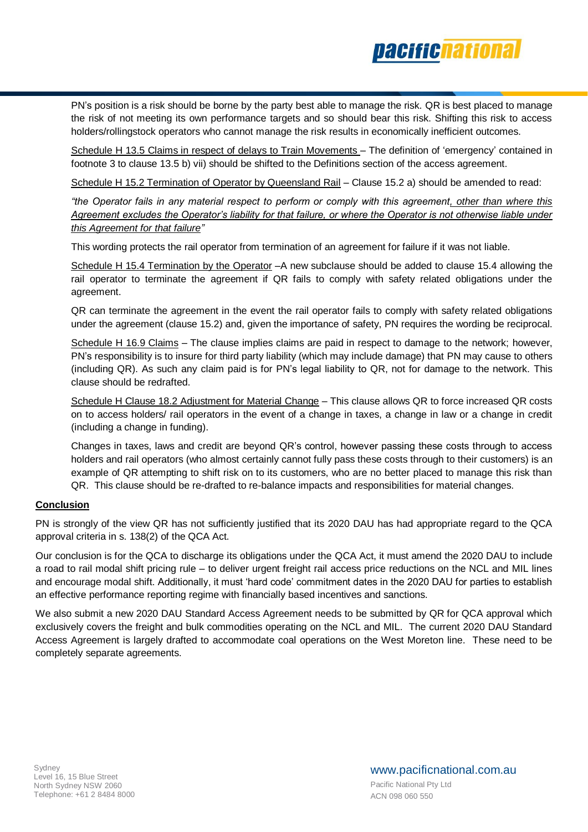

PN's position is a risk should be borne by the party best able to manage the risk. QR is best placed to manage the risk of not meeting its own performance targets and so should bear this risk. Shifting this risk to access holders/rollingstock operators who cannot manage the risk results in economically inefficient outcomes.

Schedule H 13.5 Claims in respect of delays to Train Movements – The definition of 'emergency' contained in footnote 3 to clause 13.5 b) vii) should be shifted to the Definitions section of the access agreement.

Schedule H 15.2 Termination of Operator by Queensland Rail – Clause 15.2 a) should be amended to read:

*"the Operator fails in any material respect to perform or comply with this agreement, other than where this Agreement excludes the Operator's liability for that failure, or where the Operator is not otherwise liable under this Agreement for that failure"*

This wording protects the rail operator from termination of an agreement for failure if it was not liable.

Schedule H 15.4 Termination by the Operator –A new subclause should be added to clause 15.4 allowing the rail operator to terminate the agreement if QR fails to comply with safety related obligations under the agreement.

QR can terminate the agreement in the event the rail operator fails to comply with safety related obligations under the agreement (clause 15.2) and, given the importance of safety, PN requires the wording be reciprocal.

Schedule H 16.9 Claims – The clause implies claims are paid in respect to damage to the network; however, PN's responsibility is to insure for third party liability (which may include damage) that PN may cause to others (including QR). As such any claim paid is for PN's legal liability to QR, not for damage to the network. This clause should be redrafted.

Schedule H Clause 18.2 Adjustment for Material Change – This clause allows QR to force increased QR costs on to access holders/ rail operators in the event of a change in taxes, a change in law or a change in credit (including a change in funding).

Changes in taxes, laws and credit are beyond QR's control, however passing these costs through to access holders and rail operators (who almost certainly cannot fully pass these costs through to their customers) is an example of QR attempting to shift risk on to its customers, who are no better placed to manage this risk than QR. This clause should be re-drafted to re-balance impacts and responsibilities for material changes.

# **Conclusion**

PN is strongly of the view QR has not sufficiently justified that its 2020 DAU has had appropriate regard to the QCA approval criteria in s. 138(2) of the QCA Act.

Our conclusion is for the QCA to discharge its obligations under the QCA Act, it must amend the 2020 DAU to include a road to rail modal shift pricing rule – to deliver urgent freight rail access price reductions on the NCL and MIL lines and encourage modal shift. Additionally, it must 'hard code' commitment dates in the 2020 DAU for parties to establish an effective performance reporting regime with financially based incentives and sanctions.

We also submit a new 2020 DAU Standard Access Agreement needs to be submitted by QR for QCA approval which exclusively covers the freight and bulk commodities operating on the NCL and MIL. The current 2020 DAU Standard Access Agreement is largely drafted to accommodate coal operations on the West Moreton line. These need to be completely separate agreements.

www.pacificnational.com.au Pacific National Pty Ltd ACN 098 060 550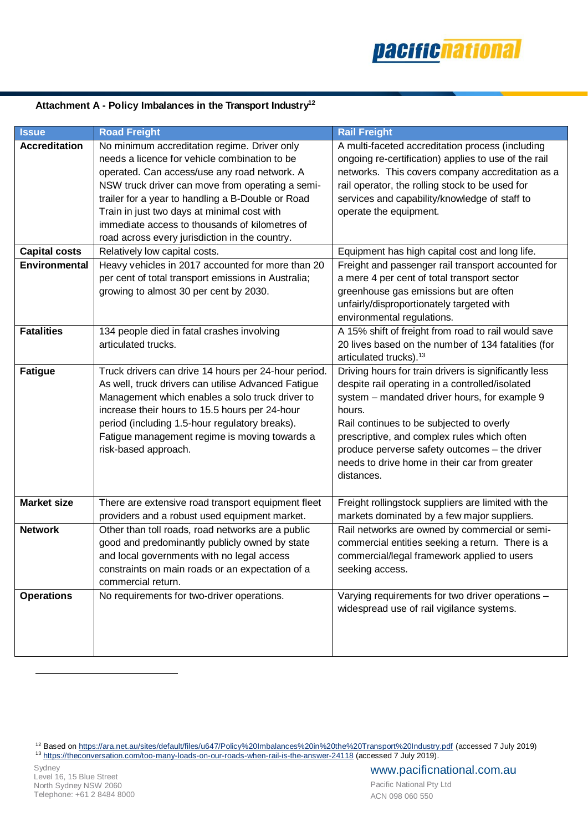

# **Attachment A - Policy Imbalances in the Transport Industry 12**

| <b>_Issue</b>                                | <b>Road Freight</b>                                                                                                                                                                                                                                                                                                                                                                                                                        | <b>Rail Freight</b>                                                                                                                                                                                                                                                                                                                                                            |
|----------------------------------------------|--------------------------------------------------------------------------------------------------------------------------------------------------------------------------------------------------------------------------------------------------------------------------------------------------------------------------------------------------------------------------------------------------------------------------------------------|--------------------------------------------------------------------------------------------------------------------------------------------------------------------------------------------------------------------------------------------------------------------------------------------------------------------------------------------------------------------------------|
| <b>Accreditation</b><br><b>Capital costs</b> | No minimum accreditation regime. Driver only<br>needs a licence for vehicle combination to be<br>operated. Can access/use any road network. A<br>NSW truck driver can move from operating a semi-<br>trailer for a year to handling a B-Double or Road<br>Train in just two days at minimal cost with<br>immediate access to thousands of kilometres of<br>road across every jurisdiction in the country.<br>Relatively low capital costs. | A multi-faceted accreditation process (including<br>ongoing re-certification) applies to use of the rail<br>networks. This covers company accreditation as a<br>rail operator, the rolling stock to be used for<br>services and capability/knowledge of staff to<br>operate the equipment.<br>Equipment has high capital cost and long life.                                   |
| <b>Environmental</b>                         | Heavy vehicles in 2017 accounted for more than 20<br>Freight and passenger rail transport accounted for<br>per cent of total transport emissions in Australia;<br>a mere 4 per cent of total transport sector<br>growing to almost 30 per cent by 2030.<br>greenhouse gas emissions but are often<br>unfairly/disproportionately targeted with<br>environmental regulations.                                                               |                                                                                                                                                                                                                                                                                                                                                                                |
| <b>Fatalities</b>                            | 134 people died in fatal crashes involving<br>articulated trucks.                                                                                                                                                                                                                                                                                                                                                                          | A 15% shift of freight from road to rail would save<br>20 lives based on the number of 134 fatalities (for<br>articulated trucks). <sup>13</sup>                                                                                                                                                                                                                               |
| <b>Fatigue</b>                               | Truck drivers can drive 14 hours per 24-hour period.<br>As well, truck drivers can utilise Advanced Fatigue<br>Management which enables a solo truck driver to<br>increase their hours to 15.5 hours per 24-hour<br>period (including 1.5-hour regulatory breaks).<br>Fatigue management regime is moving towards a<br>risk-based approach.                                                                                                | Driving hours for train drivers is significantly less<br>despite rail operating in a controlled/isolated<br>system - mandated driver hours, for example 9<br>hours.<br>Rail continues to be subjected to overly<br>prescriptive, and complex rules which often<br>produce perverse safety outcomes - the driver<br>needs to drive home in their car from greater<br>distances. |
| <b>Market size</b>                           | There are extensive road transport equipment fleet<br>providers and a robust used equipment market.                                                                                                                                                                                                                                                                                                                                        | Freight rollingstock suppliers are limited with the<br>markets dominated by a few major suppliers.                                                                                                                                                                                                                                                                             |
| <b>Network</b>                               | Other than toll roads, road networks are a public<br>good and predominantly publicly owned by state<br>and local governments with no legal access<br>constraints on main roads or an expectation of a<br>commercial return.                                                                                                                                                                                                                | Rail networks are owned by commercial or semi-<br>commercial entities seeking a return. There is a<br>commercial/legal framework applied to users<br>seeking access.                                                                                                                                                                                                           |
| <b>Operations</b>                            | No requirements for two-driver operations.                                                                                                                                                                                                                                                                                                                                                                                                 | Varying requirements for two driver operations -<br>widespread use of rail vigilance systems.                                                                                                                                                                                                                                                                                  |

<sup>12</sup> Based on <https://ara.net.au/sites/default/files/u647/Policy%20Imbalances%20in%20the%20Transport%20Industry.pdf> (accessed 7 July 2019) <sup>13</sup> <https://theconversation.com/too-many-loads-on-our-roads-when-rail-is-the-answer-24118> (accessed 7 July 2019).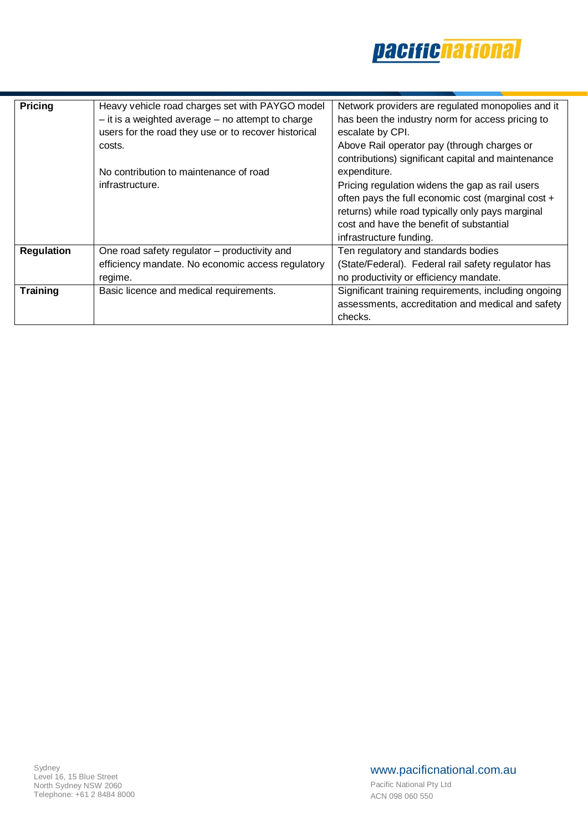

| <b>Pricing</b>    | Heavy vehicle road charges set with PAYGO model<br>$-$ it is a weighted average $-$ no attempt to charge<br>users for the road they use or to recover historical<br>costs.<br>No contribution to maintenance of road<br>infrastructure. | Network providers are regulated monopolies and it<br>has been the industry norm for access pricing to<br>escalate by CPI.<br>Above Rail operator pay (through charges or<br>contributions) significant capital and maintenance<br>expenditure.<br>Pricing regulation widens the gap as rail users<br>often pays the full economic cost (marginal cost +<br>returns) while road typically only pays marginal<br>cost and have the benefit of substantial |
|-------------------|-----------------------------------------------------------------------------------------------------------------------------------------------------------------------------------------------------------------------------------------|---------------------------------------------------------------------------------------------------------------------------------------------------------------------------------------------------------------------------------------------------------------------------------------------------------------------------------------------------------------------------------------------------------------------------------------------------------|
| <b>Regulation</b> | One road safety regulator - productivity and<br>efficiency mandate. No economic access regulatory<br>regime.                                                                                                                            | infrastructure funding.<br>Ten regulatory and standards bodies<br>(State/Federal). Federal rail safety regulator has<br>no productivity or efficiency mandate.                                                                                                                                                                                                                                                                                          |
| <b>Training</b>   | Basic licence and medical requirements.                                                                                                                                                                                                 | Significant training requirements, including ongoing<br>assessments, accreditation and medical and safety<br>checks.                                                                                                                                                                                                                                                                                                                                    |

# www.pacificnational.com.au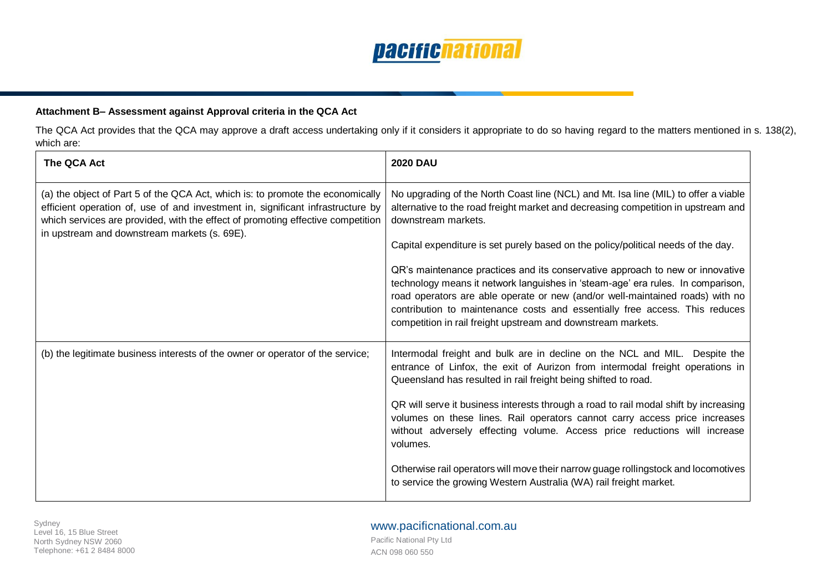

# **Attachment B– Assessment against Approval criteria in the QCA Act**

The QCA Act provides that the QCA may approve a draft access undertaking only if it considers it appropriate to do so having regard to the matters mentioned in s. 138(2), which are:

| The QCA Act                                                                                                                                                                                                                                                                                          | <b>2020 DAU</b>                                                                                                                                                                                                                                                                                                                                                                                  |
|------------------------------------------------------------------------------------------------------------------------------------------------------------------------------------------------------------------------------------------------------------------------------------------------------|--------------------------------------------------------------------------------------------------------------------------------------------------------------------------------------------------------------------------------------------------------------------------------------------------------------------------------------------------------------------------------------------------|
| (a) the object of Part 5 of the QCA Act, which is: to promote the economically<br>efficient operation of, use of and investment in, significant infrastructure by<br>which services are provided, with the effect of promoting effective competition<br>in upstream and downstream markets (s. 69E). | No upgrading of the North Coast line (NCL) and Mt. Isa line (MIL) to offer a viable<br>alternative to the road freight market and decreasing competition in upstream and<br>downstream markets.                                                                                                                                                                                                  |
|                                                                                                                                                                                                                                                                                                      | Capital expenditure is set purely based on the policy/political needs of the day.                                                                                                                                                                                                                                                                                                                |
|                                                                                                                                                                                                                                                                                                      | QR's maintenance practices and its conservative approach to new or innovative<br>technology means it network languishes in 'steam-age' era rules. In comparison,<br>road operators are able operate or new (and/or well-maintained roads) with no<br>contribution to maintenance costs and essentially free access. This reduces<br>competition in rail freight upstream and downstream markets. |
| (b) the legitimate business interests of the owner or operator of the service;                                                                                                                                                                                                                       | Intermodal freight and bulk are in decline on the NCL and MIL. Despite the<br>entrance of Linfox, the exit of Aurizon from intermodal freight operations in<br>Queensland has resulted in rail freight being shifted to road.                                                                                                                                                                    |
|                                                                                                                                                                                                                                                                                                      | QR will serve it business interests through a road to rail modal shift by increasing<br>volumes on these lines. Rail operators cannot carry access price increases<br>without adversely effecting volume. Access price reductions will increase<br>volumes.                                                                                                                                      |
|                                                                                                                                                                                                                                                                                                      | Otherwise rail operators will move their narrow guage rollingstock and locomotives<br>to service the growing Western Australia (WA) rail freight market.                                                                                                                                                                                                                                         |

# www.pacificnational.com.au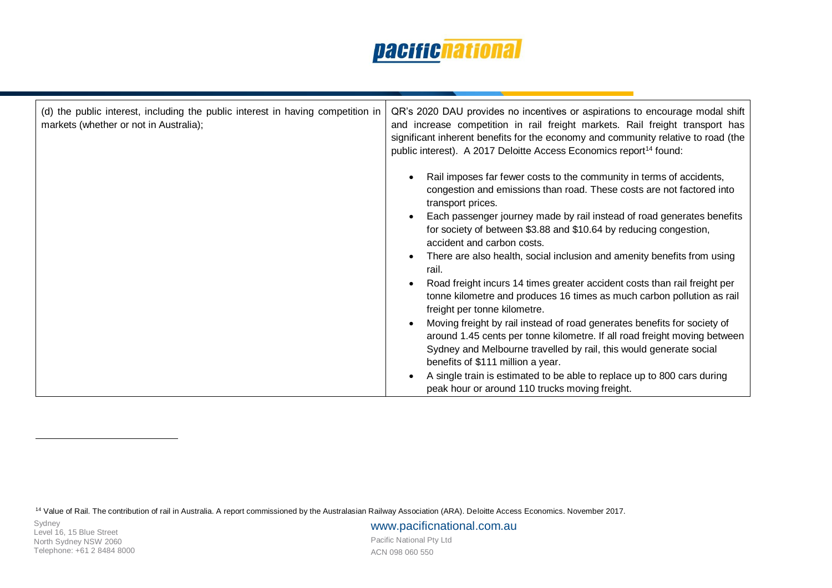| (d) the public interest, including the public interest in having competition in<br>markets (whether or not in Australia); | QR's 2020 DAU provides no incentives or aspirations to encourage modal shift<br>and increase competition in rail freight markets. Rail freight transport has<br>significant inherent benefits for the economy and community relative to road (the<br>public interest). A 2017 Deloitte Access Economics report <sup>14</sup> found:                                                                                                                                                                                                                                                                                        |  |  |
|---------------------------------------------------------------------------------------------------------------------------|----------------------------------------------------------------------------------------------------------------------------------------------------------------------------------------------------------------------------------------------------------------------------------------------------------------------------------------------------------------------------------------------------------------------------------------------------------------------------------------------------------------------------------------------------------------------------------------------------------------------------|--|--|
|                                                                                                                           | Rail imposes far fewer costs to the community in terms of accidents,<br>congestion and emissions than road. These costs are not factored into<br>transport prices.<br>Each passenger journey made by rail instead of road generates benefits<br>for society of between \$3.88 and \$10.64 by reducing congestion,<br>accident and carbon costs.<br>There are also health, social inclusion and amenity benefits from using<br>rail.<br>Road freight incurs 14 times greater accident costs than rail freight per<br>tonne kilometre and produces 16 times as much carbon pollution as rail<br>freight per tonne kilometre. |  |  |
|                                                                                                                           | Moving freight by rail instead of road generates benefits for society of<br>around 1.45 cents per tonne kilometre. If all road freight moving between<br>Sydney and Melbourne travelled by rail, this would generate social<br>benefits of \$111 million a year.<br>A single train is estimated to be able to replace up to 800 cars during<br>peak hour or around 110 trucks moving freight.                                                                                                                                                                                                                              |  |  |

<sup>14</sup> Value of Rail. The contribution of rail in Australia. A report commissioned by the Australasian Railway Association (ARA). Deloitte Access Economics. November 2017.

 $\overline{a}$ 

www.pacificnational.com.au Pacific National Pty Ltd ACN 098 060 550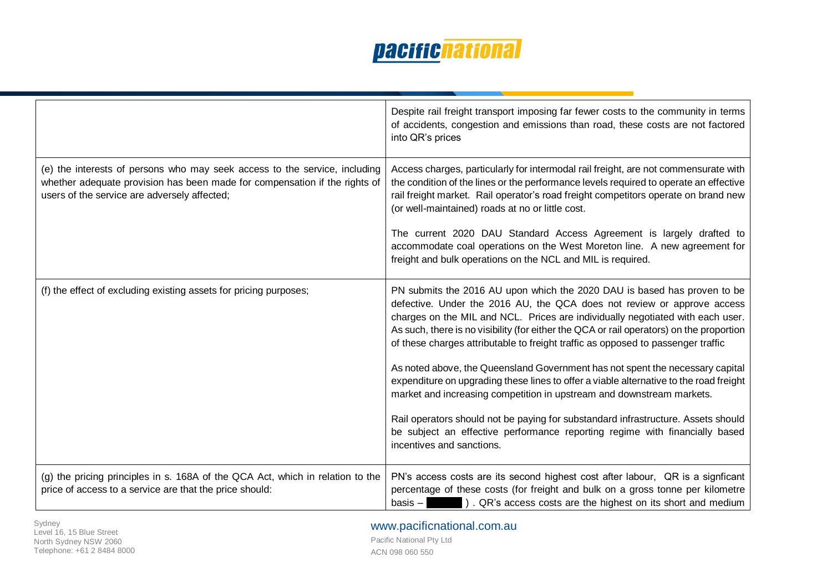|                                                                                                                                                                                                          | Despite rail freight transport imposing far fewer costs to the community in terms<br>of accidents, congestion and emissions than road, these costs are not factored<br>into QR's prices                                                                                                                                                                                                                               |
|----------------------------------------------------------------------------------------------------------------------------------------------------------------------------------------------------------|-----------------------------------------------------------------------------------------------------------------------------------------------------------------------------------------------------------------------------------------------------------------------------------------------------------------------------------------------------------------------------------------------------------------------|
| (e) the interests of persons who may seek access to the service, including<br>whether adequate provision has been made for compensation if the rights of<br>users of the service are adversely affected; | Access charges, particularly for intermodal rail freight, are not commensurate with<br>the condition of the lines or the performance levels required to operate an effective<br>rail freight market. Rail operator's road freight competitors operate on brand new<br>(or well-maintained) roads at no or little cost.                                                                                                |
|                                                                                                                                                                                                          | The current 2020 DAU Standard Access Agreement is largely drafted to<br>accommodate coal operations on the West Moreton line. A new agreement for<br>freight and bulk operations on the NCL and MIL is required.                                                                                                                                                                                                      |
| (f) the effect of excluding existing assets for pricing purposes;                                                                                                                                        | PN submits the 2016 AU upon which the 2020 DAU is based has proven to be<br>defective. Under the 2016 AU, the QCA does not review or approve access<br>charges on the MIL and NCL. Prices are individually negotiated with each user.<br>As such, there is no visibility (for either the QCA or rail operators) on the proportion<br>of these charges attributable to freight traffic as opposed to passenger traffic |
|                                                                                                                                                                                                          | As noted above, the Queensland Government has not spent the necessary capital<br>expenditure on upgrading these lines to offer a viable alternative to the road freight<br>market and increasing competition in upstream and downstream markets.                                                                                                                                                                      |
|                                                                                                                                                                                                          | Rail operators should not be paying for substandard infrastructure. Assets should<br>be subject an effective performance reporting regime with financially based<br>incentives and sanctions.                                                                                                                                                                                                                         |
| (g) the pricing principles in s. 168A of the QCA Act, which in relation to the<br>price of access to a service are that the price should:                                                                | PN's access costs are its second highest cost after labour, QR is a signficant<br>percentage of these costs (for freight and bulk on a gross tonne per kilometre<br>basis $-$<br>). QR's access costs are the highest on its short and medium                                                                                                                                                                         |

www.pacificnational.com.au Pacific National Pty Ltd ACN 098 060 550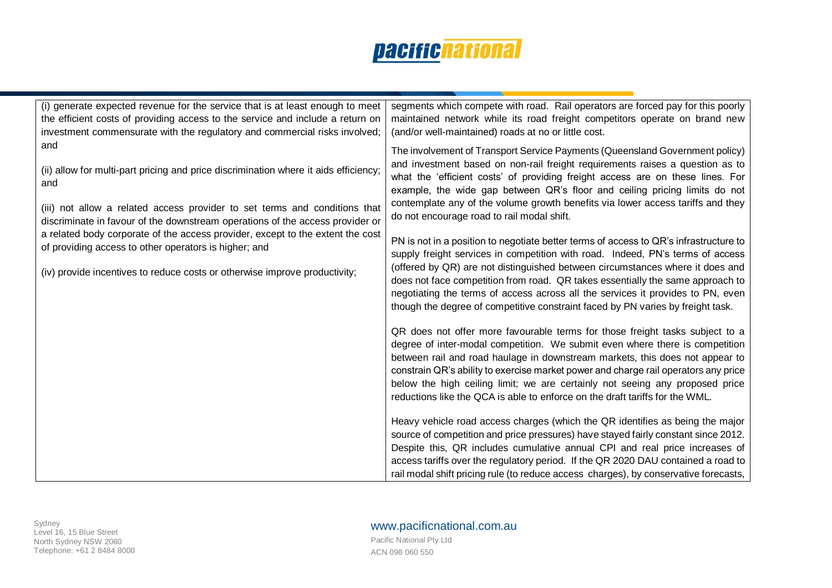| (i) generate expected revenue for the service that is at least enough to meet<br>the efficient costs of providing access to the service and include a return on<br>investment commensurate with the regulatory and commercial risks involved;                     | segments which compete with road. Rail operators are forced pay for this poorly<br>maintained network while its road freight competitors operate on brand new<br>(and/or well-maintained) roads at no or little cost.                                                                                                                                                                                                                                                                                                                                                                            |
|-------------------------------------------------------------------------------------------------------------------------------------------------------------------------------------------------------------------------------------------------------------------|--------------------------------------------------------------------------------------------------------------------------------------------------------------------------------------------------------------------------------------------------------------------------------------------------------------------------------------------------------------------------------------------------------------------------------------------------------------------------------------------------------------------------------------------------------------------------------------------------|
| and<br>(ii) allow for multi-part pricing and price discrimination where it aids efficiency;<br>and<br>(iii) not allow a related access provider to set terms and conditions that<br>discriminate in favour of the downstream operations of the access provider or | The involvement of Transport Service Payments (Queensland Government policy)<br>and investment based on non-rail freight requirements raises a question as to<br>what the 'efficient costs' of providing freight access are on these lines. For<br>example, the wide gap between QR's floor and ceiling pricing limits do not<br>contemplate any of the volume growth benefits via lower access tariffs and they<br>do not encourage road to rail modal shift.                                                                                                                                   |
| a related body corporate of the access provider, except to the extent the cost<br>of providing access to other operators is higher; and<br>(iv) provide incentives to reduce costs or otherwise improve productivity;                                             | PN is not in a position to negotiate better terms of access to QR's infrastructure to<br>supply freight services in competition with road. Indeed, PN's terms of access<br>(offered by QR) are not distinguished between circumstances where it does and<br>does not face competition from road. QR takes essentially the same approach to<br>negotiating the terms of access across all the services it provides to PN, even<br>though the degree of competitive constraint faced by PN varies by freight task.<br>QR does not offer more favourable terms for those freight tasks subject to a |
|                                                                                                                                                                                                                                                                   | degree of inter-modal competition. We submit even where there is competition<br>between rail and road haulage in downstream markets, this does not appear to<br>constrain QR's ability to exercise market power and charge rail operators any price<br>below the high ceiling limit; we are certainly not seeing any proposed price<br>reductions like the QCA is able to enforce on the draft tariffs for the WML.<br>Heavy vehicle road access charges (which the QR identifies as being the major                                                                                             |
|                                                                                                                                                                                                                                                                   | source of competition and price pressures) have stayed fairly constant since 2012.<br>Despite this, QR includes cumulative annual CPI and real price increases of<br>access tariffs over the regulatory period. If the QR 2020 DAU contained a road to<br>rail modal shift pricing rule (to reduce access charges), by conservative forecasts,                                                                                                                                                                                                                                                   |

# www.pacificnational.com.au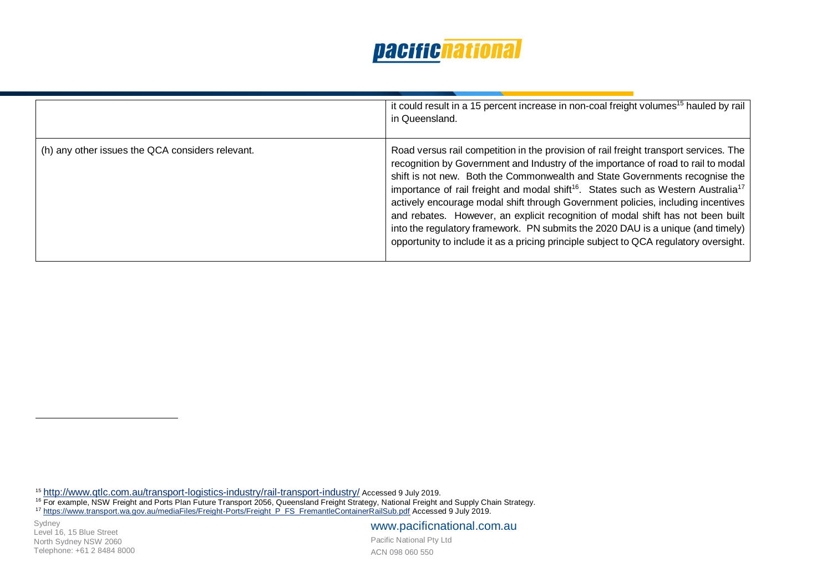|                                                  | it could result in a 15 percent increase in non-coal freight volumes <sup>15</sup> hauled by rail<br>in Queensland.                                                                                                                                                                                                                                                                                                                                                                                                                                                                                                                                                                                                       |
|--------------------------------------------------|---------------------------------------------------------------------------------------------------------------------------------------------------------------------------------------------------------------------------------------------------------------------------------------------------------------------------------------------------------------------------------------------------------------------------------------------------------------------------------------------------------------------------------------------------------------------------------------------------------------------------------------------------------------------------------------------------------------------------|
| (h) any other issues the QCA considers relevant. | Road versus rail competition in the provision of rail freight transport services. The<br>recognition by Government and Industry of the importance of road to rail to modal<br>shift is not new. Both the Commonwealth and State Governments recognise the<br>importance of rail freight and modal shift <sup>16</sup> . States such as Western Australia <sup>17</sup><br>actively encourage modal shift through Government policies, including incentives<br>and rebates. However, an explicit recognition of modal shift has not been built<br>into the regulatory framework. PN submits the 2020 DAU is a unique (and timely)<br>opportunity to include it as a pricing principle subject to QCA regulatory oversight. |

<sup>15</sup> <http://www.qtlc.com.au/transport-logistics-industry/rail-transport-industry/> Accessed 9 July 2019.

<sup>16</sup> For example, NSW Freight and Ports Plan Future Transport 2056, Queensland Freight Strategy, National Freight and Supply Chain Strategy.

<sup>17</sup> [https://www.transport.wa.gov.au/mediaFiles/Freight-Ports/Freight\\_P\\_FS\\_FremantleContainerRailSub.pdf](https://www.transport.wa.gov.au/mediaFiles/Freight-Ports/Freight_P_FS_FremantleContainerRailSub.pdf) Accessed 9 July 2019.

Sydney Level 16, 15 Blue Street North Sydney NSW 2060 Telephone: +61 2 8484 8000

 $\overline{a}$ 

www.pacificnational.com.au Pacific National Pty Ltd

ACN 098 060 550